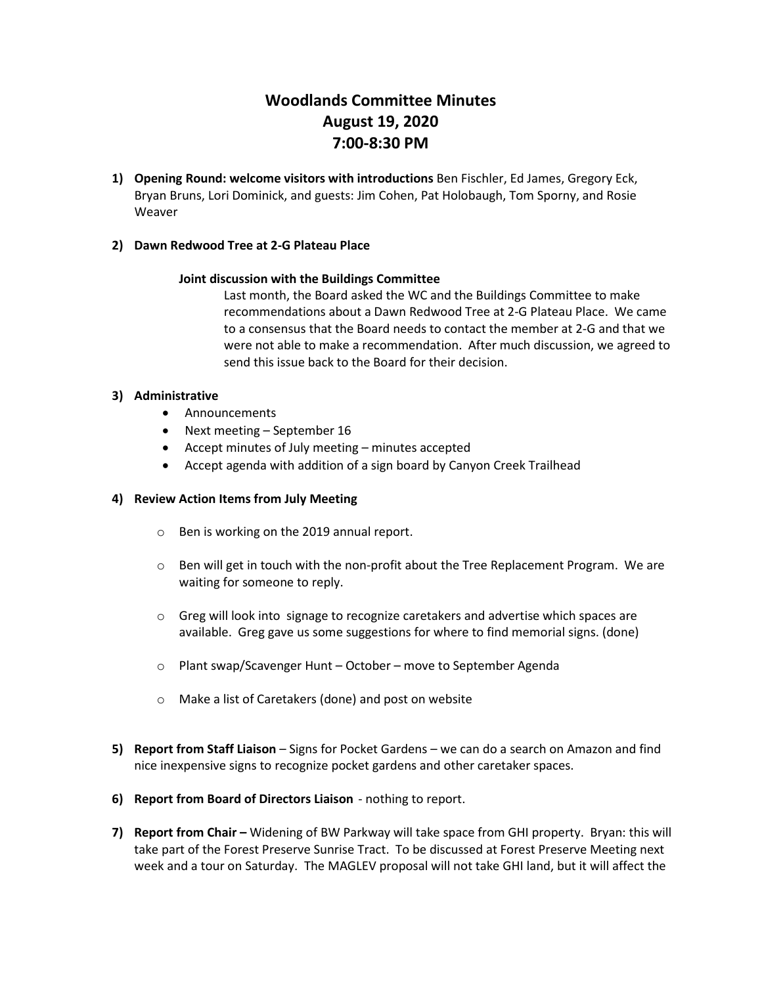# **Woodlands Committee Minutes August 19, 2020 7:00-8:30 PM**

**1) Opening Round: welcome visitors with introductions** Ben Fischler, Ed James, Gregory Eck, Bryan Bruns, Lori Dominick, and guests: Jim Cohen, Pat Holobaugh, Tom Sporny, and Rosie Weaver

# **2) Dawn Redwood Tree at 2-G Plateau Place**

#### **Joint discussion with the Buildings Committee**

Last month, the Board asked the WC and the Buildings Committee to make recommendations about a Dawn Redwood Tree at 2-G Plateau Place. We came to a consensus that the Board needs to contact the member at 2-G and that we were not able to make a recommendation. After much discussion, we agreed to send this issue back to the Board for their decision.

#### **3) Administrative**

- Announcements
- Next meeting September 16
- Accept minutes of July meeting minutes accepted
- Accept agenda with addition of a sign board by Canyon Creek Trailhead

#### **4) Review Action Items from July Meeting**

- o Ben is working on the 2019 annual report.
- o Ben will get in touch with the non-profit about the Tree Replacement Program. We are waiting for someone to reply.
- o Greg will look into signage to recognize caretakers and advertise which spaces are available. Greg gave us some suggestions for where to find memorial signs. (done)
- o Plant swap/Scavenger Hunt October move to September Agenda
- o Make a list of Caretakers (done) and post on website
- **5) Report from Staff Liaison** Signs for Pocket Gardens we can do a search on Amazon and find nice inexpensive signs to recognize pocket gardens and other caretaker spaces.
- **6) Report from Board of Directors Liaison** nothing to report.
- **7) Report from Chair –** Widening of BW Parkway will take space from GHI property. Bryan: this will take part of the Forest Preserve Sunrise Tract. To be discussed at Forest Preserve Meeting next week and a tour on Saturday. The MAGLEV proposal will not take GHI land, but it will affect the